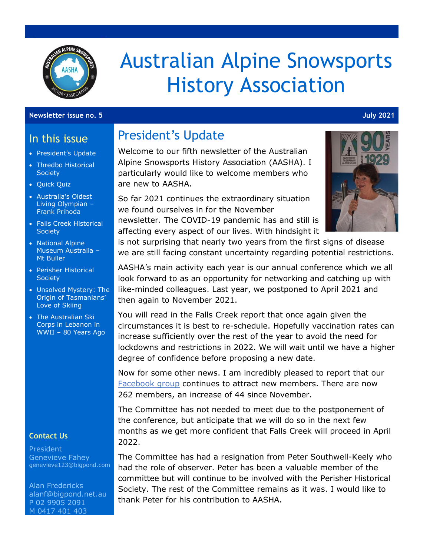

# Australian Alpine Snowsports History Association

#### **Newsletter issue no. 5 July 2021**

#### In this issue

- President's Update
- Thredbo Historical **Society**
- Quick Quiz
- Australia's Oldest Living Olympian – Frank Prihoda
- Falls Creek Historical **Society**
- National Alpine Museum Australia – Mt Buller
- Perisher Historical **Society**
- Unsolved Mystery: The Origin of Tasmanians' Love of Skiing
- The Australian Ski Corps in Lebanon in WWII – 80 Years Ago

#### **Contact Us**

President Genevieve Fahey [genevieve123@bigpond.com](mailto:genevieve123@bigpond.com)

Alan Fredericks [alanf@bigpond.net.au](mailto:alanf@bigpond.net.au) P 02 9905 2091 M 0417 401 403

#### President's Update

Welcome to our fifth newsletter of the Australian Alpine Snowsports History Association (AASHA). I particularly would like to welcome members who are new to AASHA.

So far 2021 continues the extraordinary situation we found ourselves in for the November newsletter. The COVID-19 pandemic has and still is

affecting every aspect of our lives. With hindsight it



is not surprising that nearly two years from the first signs of disease we are still facing constant uncertainty regarding potential restrictions.

AASHA's main activity each year is our annual conference which we all look forward to as an opportunity for networking and catching up with like-minded colleagues. Last year, we postponed to April 2021 and then again to November 2021.

You will read in the Falls Creek report that once again given the circumstances it is best to re-schedule. Hopefully vaccination rates can increase sufficiently over the rest of the year to avoid the need for lockdowns and restrictions in 2022. We will wait until we have a higher degree of confidence before proposing a new date.

Now for some other news. I am incredibly pleased to report that our [Facebook group](https://www.facebook.com/groups/1592780124311341) continues to attract new members. There are now 262 members, an increase of 44 since November.

The Committee has not needed to meet due to the postponement of the conference, but anticipate that we will do so in the next few months as we get more confident that Falls Creek will proceed in April 2022.

The Committee has had a resignation from Peter Southwell-Keely who had the role of observer. Peter has been a valuable member of the committee but will continue to be involved with the Perisher Historical Society. The rest of the Committee remains as it was. I would like to thank Peter for his contribution to AASHA.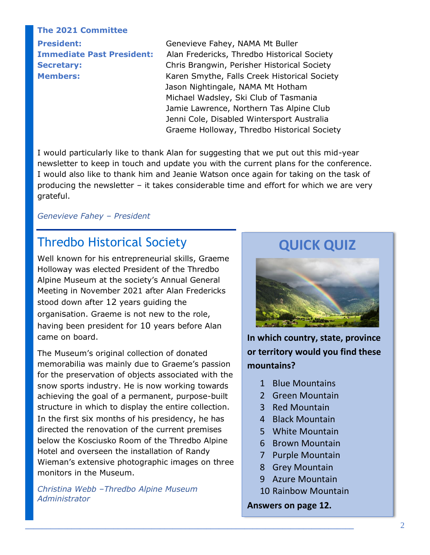#### **The 2021 Committee**

**President:** Genevieve Fahey, NAMA Mt Buller **Immediate Past President:** Alan Fredericks, Thredbo Historical Society **Secretary:** Chris Brangwin, Perisher Historical Society **Members:** Karen Smythe, Falls Creek Historical Society Jason Nightingale, NAMA Mt Hotham Michael Wadsley, Ski Club of Tasmania Jamie Lawrence, Northern Tas Alpine Club Jenni Cole, Disabled Wintersport Australia Graeme Holloway, Thredbo Historical Society

I would particularly like to thank Alan for suggesting that we put out this mid-year newsletter to keep in touch and update you with the current plans for the conference. I would also like to thank him and Jeanie Watson once again for taking on the task of producing the newsletter – it takes considerable time and effort for which we are very grateful.

#### *Genevieve Fahey – President*

#### Thredbo Historical Society

Well known for his entrepreneurial skills, Graeme Holloway was elected President of the Thredbo Alpine Museum at the society's Annual General Meeting in November 2021 after Alan Fredericks stood down after 12 years guiding the organisation. Graeme is not new to the role, having been president for 10 years before Alan came on board.

The Museum's original collection of donated memorabilia was mainly due to Graeme's passion for the preservation of objects associated with the snow sports industry. He is now working towards achieving the goal of a permanent, purpose-built structure in which to display the entire collection. In the first six months of his presidency, he has directed the renovation of the current premises below the Kosciusko Room of the Thredbo Alpine Hotel and overseen the installation of Randy Wieman's extensive photographic images on three monitors in the Museum.

*Christina Webb –Thredbo Alpine Museum Administrator*

### **QUICK QUIZ**



**In which country, state, province or territory would you find these mountains?**

- 1 Blue Mountains
- 2 Green Mountain
- 3 Red Mountain
- 4 Black Mountain
- 5 White Mountain
- 6 Brown Mountain
- 7 Purple Mountain
- 8 Grey Mountain
- 9 Azure Mountain
- 10 Rainbow Mountain

**Answers on page 12.**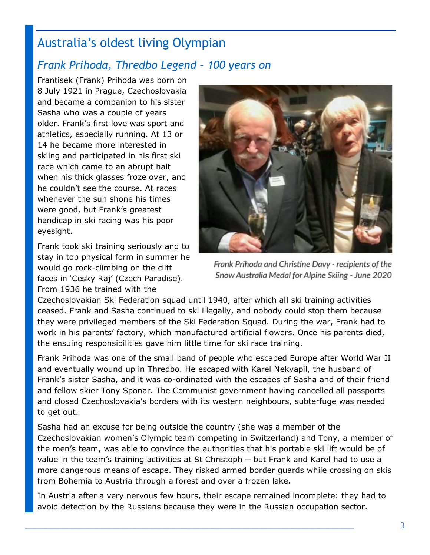## Australia's oldest living Olympian

## *Frank Prihoda, Thredbo Legend – 100 years on*

Frantisek (Frank) Prihoda was born on 8 July 1921 in Prague, Czechoslovakia and became a companion to his sister Sasha who was a couple of years older. Frank's first love was sport and athletics, especially running. At 13 or 14 he became more interested in skiing and participated in his first ski race which came to an abrupt halt when his thick glasses froze over, and he couldn't see the course. At races whenever the sun shone his times were good, but Frank's greatest handicap in ski racing was his poor eyesight.

Frank took ski training seriously and to stay in top physical form in summer he would go rock-climbing on the cliff faces in 'Cesky Raj' (Czech Paradise). From 1936 he trained with the



Frank Prihoda and Christine Davy - recipients of the Snow Australia Medal for Alpine Skiing - June 2020

Czechoslovakian Ski Federation squad until 1940, after which all ski training activities ceased. Frank and Sasha continued to ski illegally, and nobody could stop them because they were privileged members of the Ski Federation Squad. During the war, Frank had to work in his parents' factory, which manufactured artificial flowers. Once his parents died, the ensuing responsibilities gave him little time for ski race training.

Frank Prihoda was one of the small band of people who escaped Europe after World War II and eventually wound up in Thredbo. He escaped with Karel Nekvapil, the husband of Frank's sister Sasha, and it was co-ordinated with the escapes of Sasha and of their friend and fellow skier Tony Sponar. The Communist government having cancelled all passports and closed Czechoslovakia's borders with its western neighbours, subterfuge was needed to get out.

Sasha had an excuse for being outside the country (she was a member of the Czechoslovakian women's Olympic team competing in Switzerland) and Tony, a member of the men's team, was able to convince the authorities that his portable ski lift would be of value in the team's training activities at St Christoph — but Frank and Karel had to use a more dangerous means of escape. They risked armed border guards while crossing on skis from Bohemia to Austria through a forest and over a frozen lake.

In Austria after a very nervous few hours, their escape remained incomplete: they had to avoid detection by the Russians because they were in the Russian occupation sector.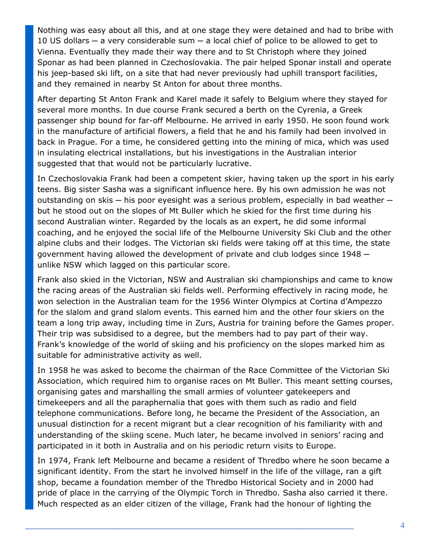Nothing was easy about all this, and at one stage they were detained and had to bribe with 10 US dollars  $-$  a very considerable sum  $-$  a local chief of police to be allowed to get to Vienna. Eventually they made their way there and to St Christoph where they joined Sponar as had been planned in Czechoslovakia. The pair helped Sponar install and operate his jeep-based ski lift, on a site that had never previously had uphill transport facilities, and they remained in nearby St Anton for about three months.

After departing St Anton Frank and Karel made it safely to Belgium where they stayed for several more months. In due course Frank secured a berth on the Cyrenia, a Greek passenger ship bound for far-off Melbourne. He arrived in early 1950. He soon found work in the manufacture of artificial flowers, a field that he and his family had been involved in back in Prague. For a time, he considered getting into the mining of mica, which was used in insulating electrical installations, but his investigations in the Australian interior suggested that that would not be particularly lucrative.

In Czechoslovakia Frank had been a competent skier, having taken up the sport in his early teens. Big sister Sasha was a significant influence here. By his own admission he was not outstanding on skis — his poor eyesight was a serious problem, especially in bad weather but he stood out on the slopes of Mt Buller which he skied for the first time during his second Australian winter. Regarded by the locals as an expert, he did some informal coaching, and he enjoyed the social life of the Melbourne University Ski Club and the other alpine clubs and their lodges. The Victorian ski fields were taking off at this time, the state government having allowed the development of private and club lodges since 1948 unlike NSW which lagged on this particular score.

Frank also skied in the Victorian, NSW and Australian ski championships and came to know the racing areas of the Australian ski fields well. Performing effectively in racing mode, he won selection in the Australian team for the 1956 Winter Olympics at Cortina d'Ampezzo for the slalom and grand slalom events. This earned him and the other four skiers on the team a long trip away, including time in Zurs, Austria for training before the Games proper. Their trip was subsidised to a degree, but the members had to pay part of their way. Frank's knowledge of the world of skiing and his proficiency on the slopes marked him as suitable for administrative activity as well.

In 1958 he was asked to become the chairman of the Race Committee of the Victorian Ski Association, which required him to organise races on Mt Buller. This meant setting courses, organising gates and marshalling the small armies of volunteer gatekeepers and timekeepers and all the paraphernalia that goes with them such as radio and field telephone communications. Before long, he became the President of the Association, an unusual distinction for a recent migrant but a clear recognition of his familiarity with and understanding of the skiing scene. Much later, he became involved in seniors' racing and participated in it both in Australia and on his periodic return visits to Europe.

In 1974, Frank left Melbourne and became a resident of Thredbo where he soon became a significant identity. From the start he involved himself in the life of the village, ran a gift shop, became a foundation member of the Thredbo Historical Society and in 2000 had pride of place in the carrying of the Olympic Torch in Thredbo. Sasha also carried it there. Much respected as an elder citizen of the village, Frank had the honour of lighting the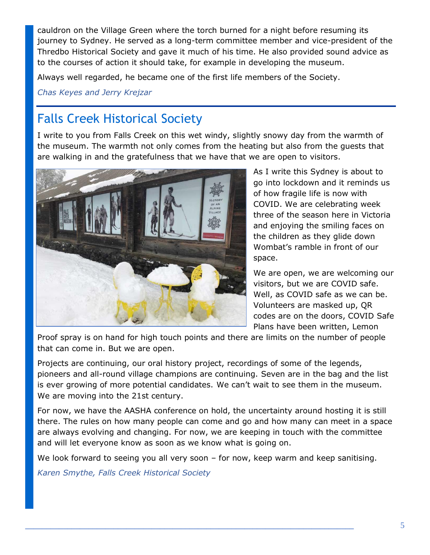cauldron on the Village Green where the torch burned for a night before resuming its journey to Sydney. He served as a long-term committee member and vice-president of the Thredbo Historical Society and gave it much of his time. He also provided sound advice as to the courses of action it should take, for example in developing the museum.

Always well regarded, he became one of the first life members of the Society.

*Chas Keyes and Jerry Krejzar*

## Falls Creek Historical Society

I write to you from Falls Creek on this wet windy, slightly snowy day from the warmth of the museum. The warmth not only comes from the heating but also from the guests that are walking in and the gratefulness that we have that we are open to visitors.



As I write this Sydney is about to go into lockdown and it reminds us of how fragile life is now with COVID. We are celebrating week three of the season here in Victoria and enjoying the smiling faces on the children as they glide down Wombat's ramble in front of our space.

We are open, we are welcoming our visitors, but we are COVID safe. Well, as COVID safe as we can be. Volunteers are masked up, QR codes are on the doors, COVID Safe Plans have been written, Lemon

Proof spray is on hand for high touch points and there are limits on the number of people that can come in. But we are open.

Projects are continuing, our oral history project, recordings of some of the legends, pioneers and all-round village champions are continuing. Seven are in the bag and the list is ever growing of more potential candidates. We can't wait to see them in the museum. We are moving into the 21st century.

For now, we have the AASHA conference on hold, the uncertainty around hosting it is still there. The rules on how many people can come and go and how many can meet in a space are always evolving and changing. For now, we are keeping in touch with the committee and will let everyone know as soon as we know what is going on.

We look forward to seeing you all very soon – for now, keep warm and keep sanitising.

*Karen Smythe, Falls Creek Historical Society*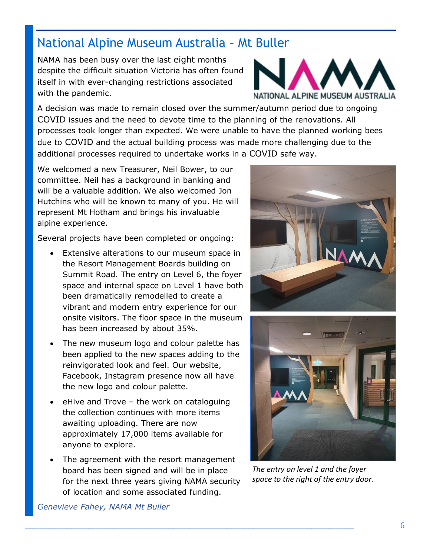## National Alpine Museum Australia – Mt Buller

NAMA has been busy over the last eight months despite the difficult situation Victoria has often found itself in with ever-changing restrictions associated with the pandemic.



A decision was made to remain closed over the summer/autumn period due to ongoing COVID issues and the need to devote time to the planning of the renovations. All processes took longer than expected. We were unable to have the planned working bees due to COVID and the actual building process was made more challenging due to the additional processes required to undertake works in a COVID safe way.

We welcomed a new Treasurer, Neil Bower, to our committee. Neil has a background in banking and will be a valuable addition. We also welcomed Jon Hutchins who will be known to many of you. He will represent Mt Hotham and brings his invaluable alpine experience.

Several projects have been completed or ongoing:

- Extensive alterations to our museum space in the Resort Management Boards building on Summit Road. The entry on Level 6, the foyer space and internal space on Level 1 have both been dramatically remodelled to create a vibrant and modern entry experience for our onsite visitors. The floor space in the museum has been increased by about 35%.
- The new museum logo and colour palette has been applied to the new spaces adding to the reinvigorated look and feel. Our website, Facebook, Instagram presence now all have the new logo and colour palette.
- eHive and Trove the work on cataloguing the collection continues with more items awaiting uploading. There are now approximately 17,000 items available for anyone to explore.
- The agreement with the resort management board has been signed and will be in place for the next three years giving NAMA security of location and some associated funding.





*The entry on level 1 and the foyer space to the right of the entry door.*

*Genevieve Fahey, NAMA Mt Buller*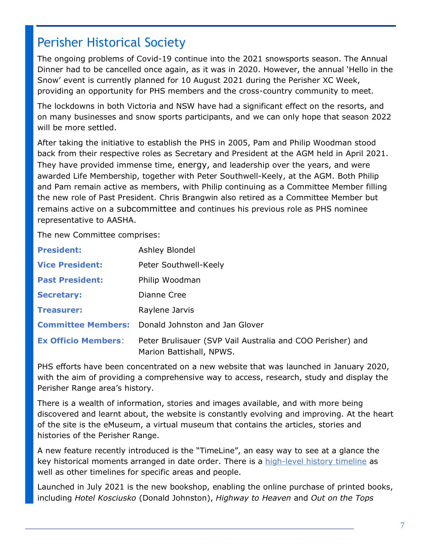## Perisher Historical Society

The ongoing problems of Covid-19 continue into the 2021 snowsports season. The Annual Dinner had to be cancelled once again, as it was in 2020. However, the annual 'Hello in the Snow' event is currently planned for 10 August 2021 during the Perisher XC Week, providing an opportunity for PHS members and the cross-country community to meet.

The lockdowns in both Victoria and NSW have had a significant effect on the resorts, and on many businesses and snow sports participants, and we can only hope that season 2022 will be more settled.

After taking the initiative to establish the PHS in 2005, Pam and Philip Woodman stood back from their respective roles as Secretary and President at the AGM held in April 2021. They have provided immense time, energy, and leadership over the years, and were awarded Life Membership, together with Peter Southwell-Keely, at the AGM. Both Philip and Pam remain active as members, with Philip continuing as a Committee Member filling the new role of Past President. Chris Brangwin also retired as a Committee Member but remains active on a subcommittee and continues his previous role as PHS nominee representative to AASHA.

The new Committee comprises:

| <b>President:</b>          | Ashley Blondel                                                                         |
|----------------------------|----------------------------------------------------------------------------------------|
| <b>Vice President:</b>     | Peter Southwell-Keely                                                                  |
| <b>Past President:</b>     | Philip Woodman                                                                         |
| <b>Secretary:</b>          | Dianne Cree                                                                            |
| <b>Treasurer:</b>          | Raylene Jarvis                                                                         |
|                            | <b>Committee Members:</b> Donald Johnston and Jan Glover                               |
| <b>Ex Officio Members:</b> | Peter Brulisauer (SVP Vail Australia and COO Perisher) and<br>Marion Battishall, NPWS. |

PHS efforts have been concentrated on a new website that was launched in January 2020, with the aim of providing a comprehensive way to access, research, study and display the Perisher Range area's history.

There is a wealth of information, stories and images available, and with more being discovered and learnt about, the website is constantly evolving and improving. At the heart of the site is the eMuseum, a virtual museum that contains the articles, stories and histories of the Perisher Range.

A new feature recently introduced is the "TimeLine", an easy way to see at a glance the key historical moments arranged in date order. There is a [high-level history timeline](https://perisherhistory.org.au/emuseum/timeline/) as well as other timelines for specific areas and people.

Launched in July 2021 is the new bookshop, enabling the online purchase of printed books, including *Hotel Kosciusko* (Donald Johnston), *Highway to Heaven* and *Out on the Tops*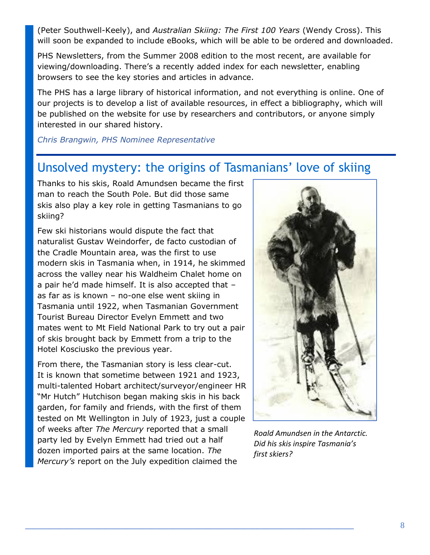(Peter Southwell-Keely), and *Australian Skiing: The First 100 Years* (Wendy Cross). This will soon be expanded to include eBooks, which will be able to be ordered and downloaded.

PHS Newsletters, from the Summer 2008 edition to the most recent, are available for viewing/downloading. There's a recently added index for each newsletter, enabling browsers to see the key stories and articles in advance.

The PHS has a large library of historical information, and not everything is online. One of our projects is to develop a list of available resources, in effect a bibliography, which will be published on the website for use by researchers and contributors, or anyone simply interested in our shared history.

*Chris Brangwin, PHS Nominee Representative*

## Unsolved mystery: the origins of Tasmanians' love of skiing

Thanks to his skis, Roald Amundsen became the first man to reach the South Pole. But did those same skis also play a key role in getting Tasmanians to go skiing?

Few ski historians would dispute the fact that naturalist Gustav Weindorfer, de facto custodian of the Cradle Mountain area, was the first to use modern skis in Tasmania when, in 1914, he skimmed across the valley near his Waldheim Chalet home on a pair he'd made himself. It is also accepted that – as far as is known – no-one else went skiing in Tasmania until 1922, when Tasmanian Government Tourist Bureau Director Evelyn Emmett and two mates went to Mt Field National Park to try out a pair of skis brought back by Emmett from a trip to the Hotel Kosciusko the previous year.

From there, the Tasmanian story is less clear-cut. It is known that sometime between 1921 and 1923, multi-talented Hobart architect/surveyor/engineer HR "Mr Hutch" Hutchison began making skis in his back garden, for family and friends, with the first of them tested on Mt Wellington in July of 1923, just a couple of weeks after *The Mercury* reported that a small party led by Evelyn Emmett had tried out a half dozen imported pairs at the same location. *The Mercury's* report on the July expedition claimed the



*Roald Amundsen in the Antarctic. Did his skis inspire Tasmania's first skiers?*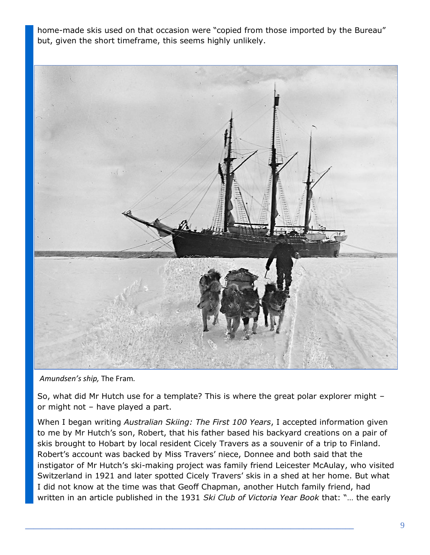home-made skis used on that occasion were "copied from those imported by the Bureau" but, given the short timeframe, this seems highly unlikely.



*Amundsen's ship,* The Fram*.*

So, what did Mr Hutch use for a template? This is where the great polar explorer might – or might not – have played a part.

When I began writing *Australian Skiing: The First 100 Years*, I accepted information given to me by Mr Hutch's son, Robert, that his father based his backyard creations on a pair of skis brought to Hobart by local resident Cicely Travers as a souvenir of a trip to Finland. Robert's account was backed by Miss Travers' niece, Donnee and both said that the instigator of Mr Hutch's ski-making project was family friend Leicester McAulay, who visited Switzerland in 1921 and later spotted Cicely Travers' skis in a shed at her home. But what I did not know at the time was that Geoff Chapman, another Hutch family friend, had written in an article published in the 1931 *Ski Club of Victoria Year Book* that: "… the early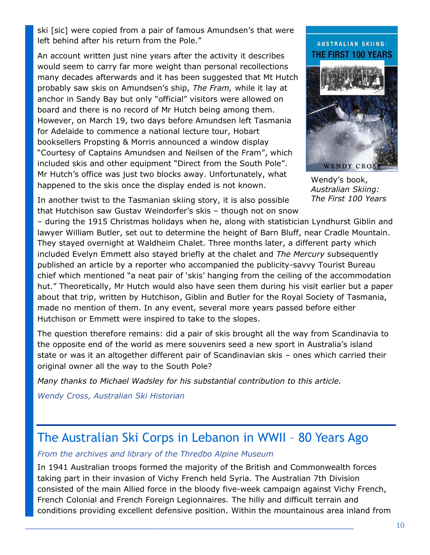ski [sic] were copied from a pair of famous Amundsen's that were left behind after his return from the Pole."

An account written just nine years after the activity it describes would seem to carry far more weight than personal recollections many decades afterwards and it has been suggested that Mt Hutch probably saw skis on Amundsen's ship, *The Fram,* while it lay at anchor in Sandy Bay but only "official" visitors were allowed on board and there is no record of Mr Hutch being among them. However, on March 19, two days before Amundsen left Tasmania for Adelaide to commence a national lecture tour, Hobart booksellers Propsting & Morris announced a window display "Courtesy of Captains Amundsen and Neilsen of the Fram", which included skis and other equipment "Direct from the South Pole". Mr Hutch's office was just two blocks away. Unfortunately, what happened to the skis once the display ended is not known.

In another twist to the Tasmanian skiing story, it is also possible that Hutchison saw Gustav Weindorfer's skis – though not on snow

– during the 1915 Christmas holidays when he, along with statistician Lyndhurst Giblin and lawyer William Butler, set out to determine the height of Barn Bluff, near Cradle Mountain. They stayed overnight at Waldheim Chalet. Three months later, a different party which included Evelyn Emmett also stayed briefly at the chalet and *The Mercury* subsequently published an article by a reporter who accompanied the publicity-savvy Tourist Bureau chief which mentioned "a neat pair of 'skis' hanging from the ceiling of the accommodation hut." Theoretically, Mr Hutch would also have seen them during his visit earlier but a paper about that trip, written by Hutchison, Giblin and Butler for the Royal Society of Tasmania, made no mention of them. In any event, several more years passed before either Hutchison or Emmett were inspired to take to the slopes.

The question therefore remains: did a pair of skis brought all the way from Scandinavia to the opposite end of the world as mere souvenirs seed a new sport in Australia's island state or was it an altogether different pair of Scandinavian skis – ones which carried their original owner all the way to the South Pole?

*Many thanks to Michael Wadsley for his substantial contribution to this article.*

*Wendy Cross, Australian Ski Historian*

### The Australian Ski Corps in Lebanon in WWII – 80 Years Ago

*From the archives and library of the Thredbo Alpine Museum*

In 1941 Australian troops formed the majority of the British and Commonwealth forces taking part in their invasion of Vichy French held Syria. The Australian 7th Division consisted of the main Allied force in the bloody five-week campaign against Vichy French, French Colonial and French Foreign Legionnaires. The hilly and difficult terrain and conditions providing excellent defensive position. Within the mountainous area inland from

#### **AUSTRALIAN SKIING: THE FIRST 100 YEARS**



Wendy's book, *Australian Skiing: The First 100 Years*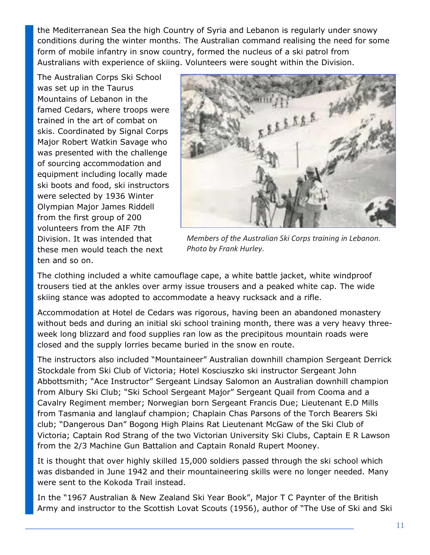the Mediterranean Sea the high Country of Syria and Lebanon is regularly under snowy conditions during the winter months. The Australian command realising the need for some form of mobile infantry in snow country, formed the nucleus of a ski patrol from Australians with experience of skiing. Volunteers were sought within the Division.

The Australian Corps Ski School was set up in the Taurus Mountains of Lebanon in the famed Cedars, where troops were trained in the art of combat on skis. Coordinated by Signal Corps Major Robert Watkin Savage who was presented with the challenge of sourcing accommodation and equipment including locally made ski boots and food, ski instructors were selected by 1936 Winter Olympian Major James Riddell from the first group of 200 volunteers from the AIF 7th Division. It was intended that these men would teach the next ten and so on.



*Members of the Australian Ski Corps training in Lebanon. Photo by Frank Hurley.*

The clothing included a white camouflage cape, a white battle jacket, white windproof trousers tied at the ankles over army issue trousers and a peaked white cap. The wide skiing stance was adopted to accommodate a heavy rucksack and a rifle.

Accommodation at Hotel de Cedars was rigorous, having been an abandoned monastery without beds and during an initial ski school training month, there was a very heavy threeweek long blizzard and food supplies ran low as the precipitous mountain roads were closed and the supply lorries became buried in the snow en route.

The instructors also included "Mountaineer" Australian downhill champion Sergeant Derrick Stockdale from Ski Club of Victoria; Hotel Kosciuszko ski instructor Sergeant John Abbottsmith; "Ace Instructor" Sergeant Lindsay Salomon an Australian downhill champion from Albury Ski Club; "Ski School Sergeant Major" Sergeant Quail from Cooma and a Cavalry Regiment member; Norwegian born Sergeant Francis Due; Lieutenant E.D Mills from Tasmania and langlauf champion; Chaplain Chas Parsons of the Torch Bearers Ski club; "Dangerous Dan" Bogong High Plains Rat Lieutenant McGaw of the Ski Club of Victoria; Captain Rod Strang of the two Victorian University Ski Clubs, Captain E R Lawson from the 2/3 Machine Gun Battalion and Captain Ronald Rupert Mooney.

It is thought that over highly skilled 15,000 soldiers passed through the ski school which was disbanded in June 1942 and their mountaineering skills were no longer needed. Many were sent to the Kokoda Trail instead.

In the "1967 Australian & New Zealand Ski Year Book", Major T C Paynter of the British Army and instructor to the Scottish Lovat Scouts (1956), author of "The Use of Ski and Ski